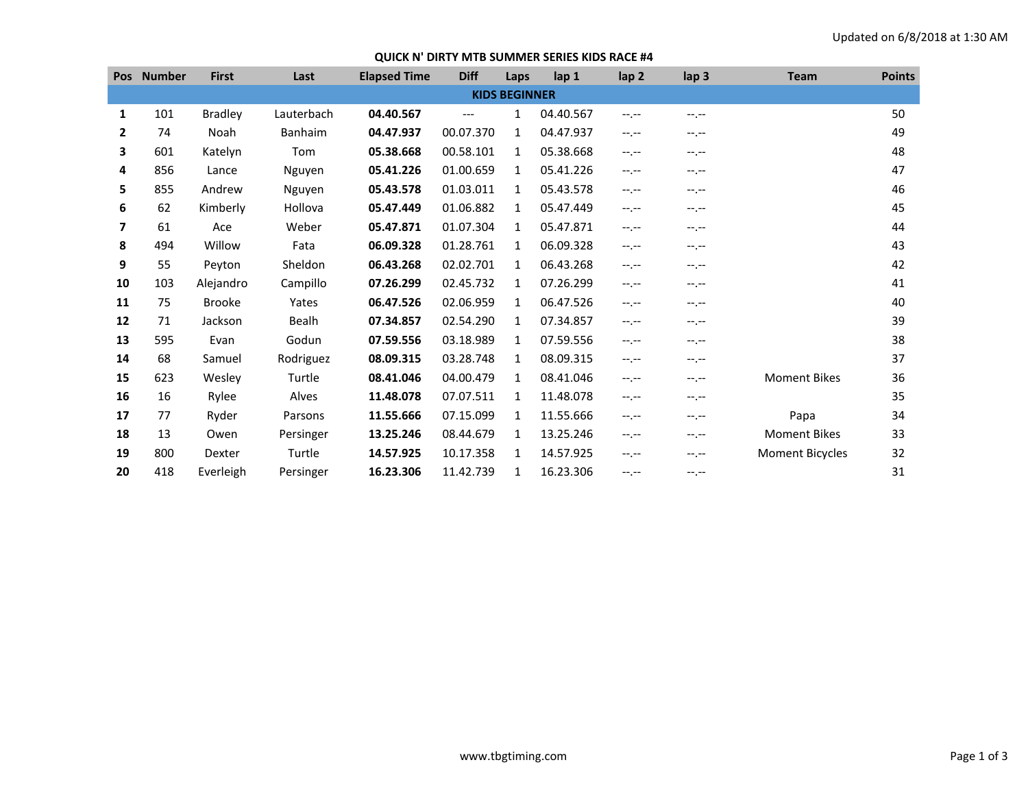## **QUICK N' DIRTY MTB SUMMER SERIES KIDS RACE #4**

|                      | Pos Number | <b>First</b>   | Last           | <b>Elapsed Time</b> | <b>Diff</b> | Laps         | lap <sub>1</sub> | lap <sub>2</sub> | lap <sub>3</sub> | <b>Team</b>            | <b>Points</b> |
|----------------------|------------|----------------|----------------|---------------------|-------------|--------------|------------------|------------------|------------------|------------------------|---------------|
| <b>KIDS BEGINNER</b> |            |                |                |                     |             |              |                  |                  |                  |                        |               |
| 1                    | 101        | <b>Bradley</b> | Lauterbach     | 04.40.567           | $---$       | 1            | 04.40.567        | $-1 - 1 - 1 = 0$ | $-1$ . $-1$      |                        | 50            |
| $\mathbf{2}$         | 74         | Noah           | <b>Banhaim</b> | 04.47.937           | 00.07.370   | 1            | 04.47.937        | $-1 - 1 - 1 = 0$ | --.--            |                        | 49            |
| 3                    | 601        | Katelyn        | Tom            | 05.38.668           | 00.58.101   | $\mathbf{1}$ | 05.38.668        | $-1 - 1 - 1 = 0$ | --.--            |                        | 48            |
| 4                    | 856        | Lance          | Nguyen         | 05.41.226           | 01.00.659   | 1            | 05.41.226        | $-1.1 -$         | --.--            |                        | 47            |
| 5                    | 855        | Andrew         | Nguyen         | 05.43.578           | 01.03.011   | 1            | 05.43.578        | $-1 - 1 - 1 = 0$ | $-1$ , $-1$      |                        | 46            |
| 6                    | 62         | Kimberly       | Hollova        | 05.47.449           | 01.06.882   | 1            | 05.47.449        | $-1 - 1 - 1 = 0$ | --.--            |                        | 45            |
| 7                    | 61         | Ace            | Weber          | 05.47.871           | 01.07.304   | 1            | 05.47.871        | $-1 - 1 - 1 = 0$ | --.--            |                        | 44            |
| 8                    | 494        | Willow         | Fata           | 06.09.328           | 01.28.761   | 1            | 06.09.328        | $-1 - 1 - 1 = 0$ | --.--            |                        | 43            |
| 9                    | 55         | Peyton         | Sheldon        | 06.43.268           | 02.02.701   | 1            | 06.43.268        | $-1 - 1 - 1 = 0$ | $-1 - 1 - 1 = 0$ |                        | 42            |
| 10                   | 103        | Alejandro      | Campillo       | 07.26.299           | 02.45.732   | 1            | 07.26.299        | $-1 - 1 - 1 = 0$ | $-1 - 1 - 1 = 0$ |                        | 41            |
| 11                   | 75         | <b>Brooke</b>  | Yates          | 06.47.526           | 02.06.959   | 1            | 06.47.526        | $-1 - 1 - 1 = 0$ | --.--            |                        | 40            |
| 12                   | 71         | Jackson        | <b>Bealh</b>   | 07.34.857           | 02.54.290   | 1            | 07.34.857        | $-1 - 1 - 1 = 0$ | --.--            |                        | 39            |
| 13                   | 595        | Evan           | Godun          | 07.59.556           | 03.18.989   | $\mathbf{1}$ | 07.59.556        | $-1 - 1 - 1 = 0$ | $-1 - 1 - 1 = 0$ |                        | 38            |
| 14                   | 68         | Samuel         | Rodriguez      | 08.09.315           | 03.28.748   | 1            | 08.09.315        | $-1 - 1 - 1 = 0$ | --.--            |                        | 37            |
| 15                   | 623        | Wesley         | Turtle         | 08.41.046           | 04.00.479   | 1            | 08.41.046        | $-1 - 1 - 1 = 0$ | --.--            | <b>Moment Bikes</b>    | 36            |
| 16                   | 16         | Rylee          | Alves          | 11.48.078           | 07.07.511   | $\mathbf{1}$ | 11.48.078        | $-1 - 1 - 1 = 0$ | --.--            |                        | 35            |
| 17                   | 77         | Ryder          | Parsons        | 11.55.666           | 07.15.099   | 1            | 11.55.666        | $-1 - 1 - 1 = 0$ | --.--            | Papa                   | 34            |
| 18                   | 13         | Owen           | Persinger      | 13.25.246           | 08.44.679   | 1            | 13.25.246        | $-1$ , $-1$      | $-1. -1$         | <b>Moment Bikes</b>    | 33            |
| 19                   | 800        | Dexter         | Turtle         | 14.57.925           | 10.17.358   | 1            | 14.57.925        | $-1 - 1 - 1 = 0$ | $-1 - 1 - 1 = 0$ | <b>Moment Bicycles</b> | 32            |
| 20                   | 418        | Everleigh      | Persinger      | 16.23.306           | 11.42.739   | 1            | 16.23.306        | $-1 - 1 - 1 = 0$ | --.--            |                        | 31            |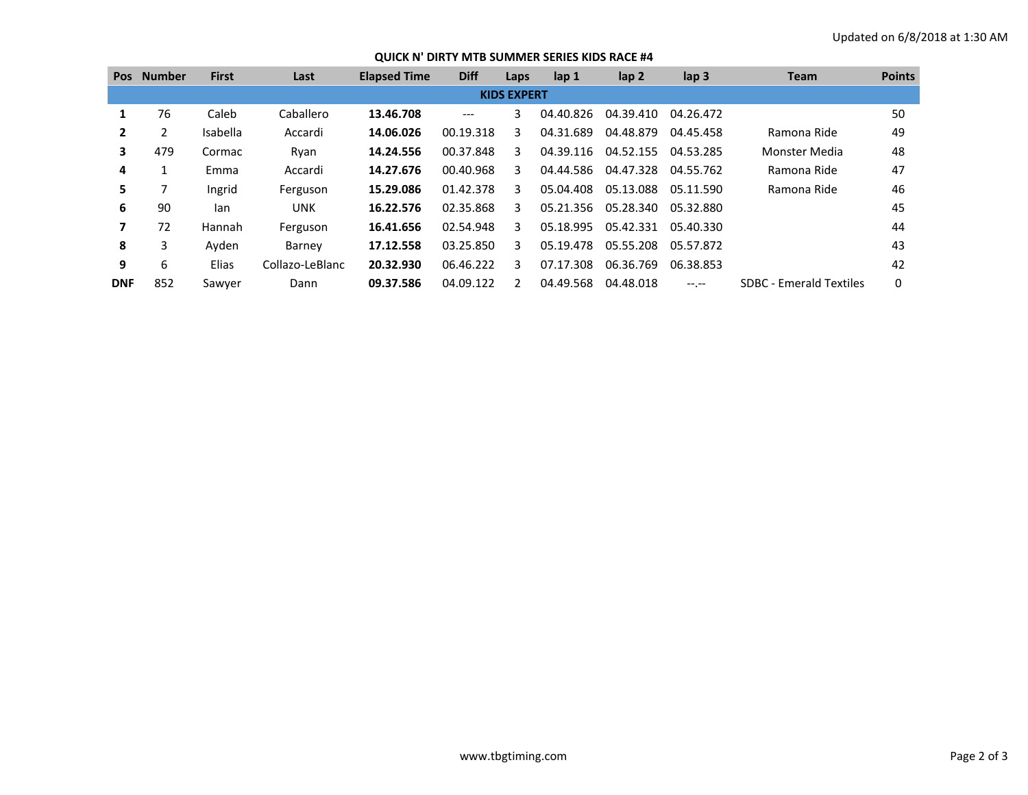## **QUICK N' DIRTY MTB SUMMER SERIES KIDS RACE #4**

| <b>Pos</b>               | <b>Number</b> | <b>First</b> | Last            | <b>Elapsed Time</b> | <b>Diff</b> | Laps          | $\mathsf{lap} 1$ | $\mathsf{lap} 2$ | lap <sub>3</sub> | <b>Team</b>                    | <b>Points</b> |
|--------------------------|---------------|--------------|-----------------|---------------------|-------------|---------------|------------------|------------------|------------------|--------------------------------|---------------|
| <b>KIDS EXPERT</b>       |               |              |                 |                     |             |               |                  |                  |                  |                                |               |
| 1                        | 76            | Caleb        | Caballero       | 13.46.708           | ---         | 3             | 04.40.826        | 04.39.410        | 04.26.472        |                                | 50            |
| $\mathbf{2}$             | 2             | Isabella     | Accardi         | 14.06.026           | 00.19.318   | 3             | 04.31.689        | 04.48.879        | 04.45.458        | Ramona Ride                    | 49            |
| 3                        | 479           | Cormac       | Ryan            | 14.24.556           | 00.37.848   | 3             | 04.39.116        | 04.52.155        | 04.53.285        | Monster Media                  | 48            |
| 4                        |               | Emma         | Accardi         | 14.27.676           | 00.40.968   | 3             | 04.44.586        | 04.47.328        | 04.55.762        | Ramona Ride                    | 47            |
| 5.                       |               | Ingrid       | Ferguson        | 15.29.086           | 01.42.378   | 3             | 05.04.408        | 05.13.088        | 05.11.590        | Ramona Ride                    | 46            |
| 6                        | 90            | lan          | <b>UNK</b>      | 16.22.576           | 02.35.868   | 3             | 05.21.356        | 05.28.340        | 05.32.880        |                                | 45            |
| $\overline{\phantom{a}}$ | 72            | Hannah       | Ferguson        | 16.41.656           | 02.54.948   | 3             | 05.18.995        | 05.42.331        | 05.40.330        |                                | 44            |
| 8                        | 3             | Ayden        | Barney          | 17.12.558           | 03.25.850   | 3             | 05.19.478        | 05.55.208        | 05.57.872        |                                | 43            |
| 9                        | 6             | Elias        | Collazo-LeBlanc | 20.32.930           | 06.46.222   | 3             | 07.17.308        | 06.36.769        | 06.38.853        |                                | 42            |
| <b>DNF</b>               | 852           | Sawyer       | Dann            | 09.37.586           | 04.09.122   | $\mathcal{P}$ | 04.49.568        | 04.48.018        | $-1$ , $-1$      | <b>SDBC - Emerald Textiles</b> | 0             |